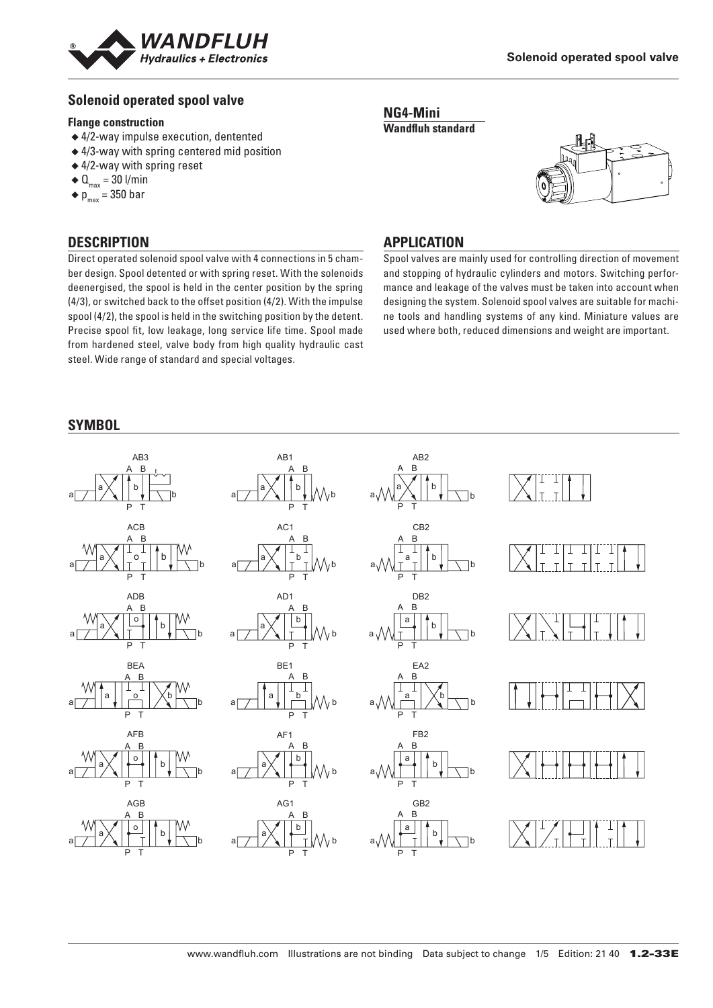

# **Solenoid operated spool valve**

#### **Flange construction**

- ◆ 4/2-way impulse execution, dentented
- ◆ 4/3-way with spring centered mid position
- ◆ 4/2-way with spring reset
- $\triangleleft$  Q<sub>max</sub> = 30 l/min
- $\bullet$  p<sub>max</sub> = 350 bar

## **DESCRIPTION**

Direct operated solenoid spool valve with 4 connections in 5 chamber design. Spool detented or with spring reset. With the solenoids deenergised, the spool is held in the center position by the spring (4/3), or switched back to the offset position (4/2). With the impulse spool (4/2), the spool is held in the switching position by the detent. Precise spool fit, low leakage, long service life time. Spool made from hardened steel, valve body from high quality hydraulic cast steel. Wide range of standard and special voltages.





#### **APPLICATION**

Spool valves are mainly used for controlling direction of movement and stopping of hydraulic cylinders and motors. Switching performance and leakage of the valves must be taken into account when designing the system. Solenoid spool valves are suitable for machine tools and handling systems of any kind. Miniature values are used where both, reduced dimensions and weight are important.

# **SYMBOL**

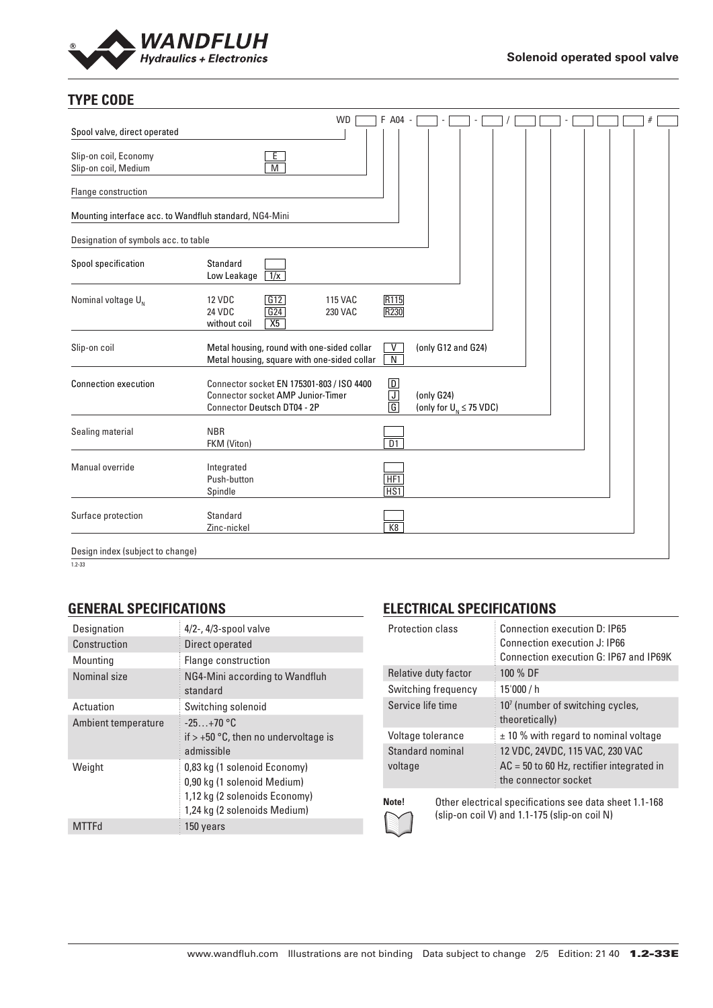

# **TYPE CODE**

| Spool valve, direct operated                           |                                                                                                                      | <b>WD</b>                 | F A04 -                                                                    |                                              |  |  |  |  |
|--------------------------------------------------------|----------------------------------------------------------------------------------------------------------------------|---------------------------|----------------------------------------------------------------------------|----------------------------------------------|--|--|--|--|
| Slip-on coil, Economy<br>Slip-on coil, Medium          | E<br>M                                                                                                               |                           |                                                                            |                                              |  |  |  |  |
| Flange construction                                    |                                                                                                                      |                           |                                                                            |                                              |  |  |  |  |
| Mounting interface acc. to Wandfluh standard, NG4-Mini |                                                                                                                      |                           |                                                                            |                                              |  |  |  |  |
| Designation of symbols acc. to table                   |                                                                                                                      |                           |                                                                            |                                              |  |  |  |  |
| Spool specification                                    | Standard<br>Low Leakage<br>1/x                                                                                       |                           |                                                                            |                                              |  |  |  |  |
| Nominal voltage $U_{N}$                                | G12<br><b>12 VDC</b><br>$\sqrt{G24}$<br>24 VDC<br>X5<br>without coil                                                 | <b>115 VAC</b><br>230 VAC | R115<br>R230                                                               |                                              |  |  |  |  |
| Slip-on coil                                           | Metal housing, round with one-sided collar<br>Metal housing, square with one-sided collar                            |                           | V<br>$\overline{N}$                                                        | (only G12 and G24)                           |  |  |  |  |
| <b>Connection execution</b>                            | Connector socket EN 175301-803 / ISO 4400<br><b>Connector socket AMP Junior-Timer</b><br>Connector Deutsch DT04 - 2P |                           | $\boxed{\mathsf{D}}$<br>$\overline{\mathsf{J}}$<br>$\overline{\mathsf{G}}$ | (only G24)<br>(only for $U_{N} \leq 75$ VDC) |  |  |  |  |
| Sealing material                                       | <b>NBR</b><br>FKM (Viton)                                                                                            |                           | $\overline{D1}$                                                            |                                              |  |  |  |  |
| Manual override                                        | Integrated<br>Push-button<br>Spindle                                                                                 |                           | HF <sub>1</sub><br>HS1                                                     |                                              |  |  |  |  |
| Surface protection                                     | Standard<br>Zinc-nickel                                                                                              |                           | K8                                                                         |                                              |  |  |  |  |
| Design index (subject to change)                       |                                                                                                                      |                           |                                                                            |                                              |  |  |  |  |

1.2-33

# **GENERAL SPECIFICATIONS**

| Designation         | $4/2$ -, $4/3$ -spool valve                                                                                                  |
|---------------------|------------------------------------------------------------------------------------------------------------------------------|
| Construction        | Direct operated                                                                                                              |
| Mounting            | Flange construction                                                                                                          |
| Nominal size        | NG4-Mini according to Wandfluh<br>standard                                                                                   |
| Actuation           | Switching solenoid                                                                                                           |
| Ambient temperature | $-25+70$ °C<br>if $> +50$ °C, then no undervoltage is<br>admissible                                                          |
| Weight              | 0,83 kg (1 solenoid Economy)<br>0,90 kg (1 solenoid Medium)<br>1,12 kg (2 solenoids Economy)<br>1,24 kg (2 solenoids Medium) |
| <b>MTTFd</b>        | 150 years                                                                                                                    |

# **ELECTRICAL SPECIFICATIONS**

| <b>Protection class</b>     | Connection execution D: IP65<br>Connection execution J: IP66<br>Connection execution G: IP67 and IP69K |
|-----------------------------|--------------------------------------------------------------------------------------------------------|
| Relative duty factor        | 100 % DF                                                                                               |
| Switching frequency         | 15'000 / h                                                                                             |
| Service life time           | $107$ (number of switching cycles,<br>theoretically)                                                   |
| Voltage tolerance           | $\pm$ 10 % with regard to nominal voltage                                                              |
| Standard nominal<br>voltage | 12 VDC, 24VDC, 115 VAC, 230 VAC<br>$AC = 50$ to 60 Hz, rectifier integrated in<br>the connector socket |

**Note!** Other electrical specifications see data sheet 1.1-168 (slip-on coil V) and 1.1-175 (slip-on coil N)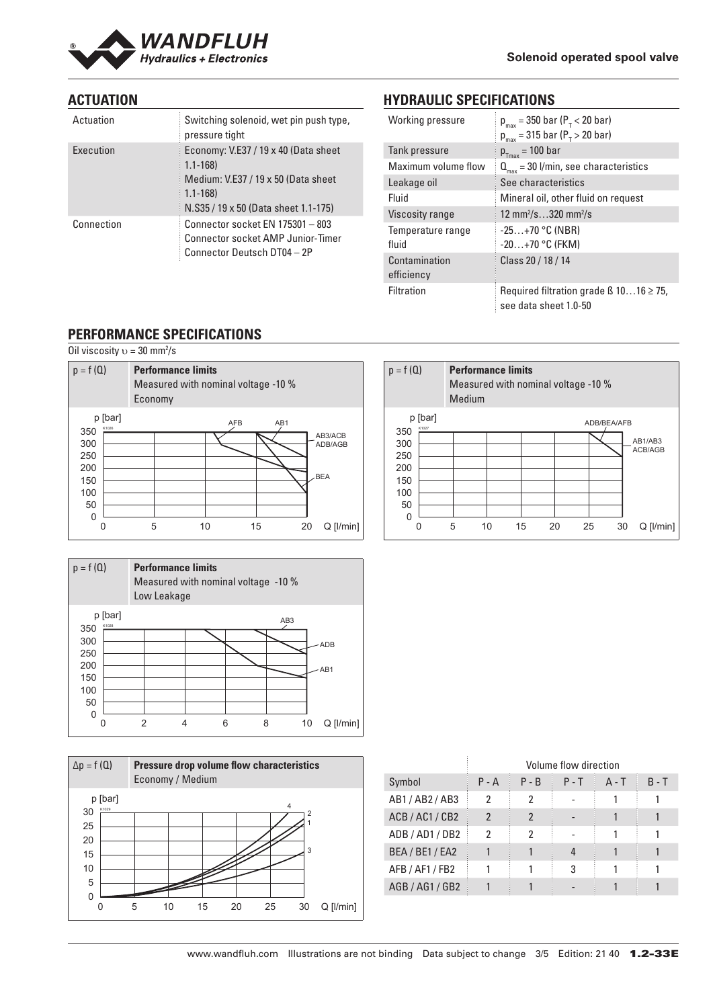

# **ACTUATION**

| Actuation  | Switching solenoid, wet pin push type,<br>pressure tight                                                                                          |
|------------|---------------------------------------------------------------------------------------------------------------------------------------------------|
| Execution  | Economy: V.E37 / 19 x 40 (Data sheet<br>$1.1 - 168$<br>Medium: V.E37 / 19 x 50 (Data sheet<br>$1.1 - 168$<br>N.S35 / 19 x 50 (Data sheet 1.1-175) |
| Connection | Connector socket EN 175301 - 803<br><b>Connector socket AMP Junior-Timer</b><br>Connector Deutsch DT04 - 2P                                       |

# **HYDRAULIC SPECIFICATIONS**

| Working pressure            | $p_{max}$ = 350 bar ( $P_{T}$ < 20 bar)<br>$p_{max}$ = 315 bar ( $P_{T}$ > 20 bar) |
|-----------------------------|------------------------------------------------------------------------------------|
| Tank pressure               | $p_{Tmax}$ = 100 bar                                                               |
| Maximum volume flow         | $Q_{\text{max}}$ = 30 l/min, see characteristics                                   |
| Leakage oil                 | See characteristics                                                                |
| Fluid                       | Mineral oil, other fluid on request                                                |
| Viscosity range             | 12 mm <sup>2</sup> /s320 mm <sup>2</sup> /s                                        |
| Temperature range<br>fluid  | $-25+70$ °C (NBR)<br>$-20+70$ °C (FKM)                                             |
| Contamination<br>efficiency | Class 20 / 18 / 14                                                                 |
| <b>Filtration</b>           | Required filtration grade $\beta$ 1016 $\geq$ 75,<br>see data sheet 1.0-50         |

# **PERFORMANCE SPECIFICATIONS**

Oil viscosity  $v = 30$  mm<sup>2</sup>/s



| $p = f(Q)$              |   | <b>Performance limits</b><br>Measured with nominal voltage -10 %<br>Low Leakage |   |                 |    |             |
|-------------------------|---|---------------------------------------------------------------------------------|---|-----------------|----|-------------|
| p [bar]<br>K1028<br>350 |   |                                                                                 |   | AB <sub>3</sub> |    |             |
| 300                     |   |                                                                                 |   |                 |    | <b>ADB</b>  |
| 250                     |   |                                                                                 |   |                 |    |             |
| 200                     |   |                                                                                 |   |                 |    | AB1         |
| 150<br>100              |   |                                                                                 |   |                 |    |             |
| 50                      |   |                                                                                 |   |                 |    |             |
| 0                       |   |                                                                                 |   |                 |    |             |
|                         | 2 |                                                                                 | 6 | 8               | 10 | $Q$ [l/min] |



|                 |                |                | Volume flow direction |         |         |
|-----------------|----------------|----------------|-----------------------|---------|---------|
| Symbol          | $P - A$        | $P - B$        | $P - T$               | $A - T$ | $B - T$ |
| AB1 / AB2 / AB3 | 2              | 2              |                       |         |         |
| ACB/AC1/CB2     | $\mathfrak{p}$ | $\mathfrak{p}$ |                       |         |         |
| ADB / AD1 / DB2 | 2              | 2              |                       |         |         |
| BEA / BE1 / EA2 |                |                | 4                     |         |         |
| AFB / AF1 / FB2 |                |                | 3                     |         |         |
| AGB / AG1 / GB2 |                |                |                       |         |         |

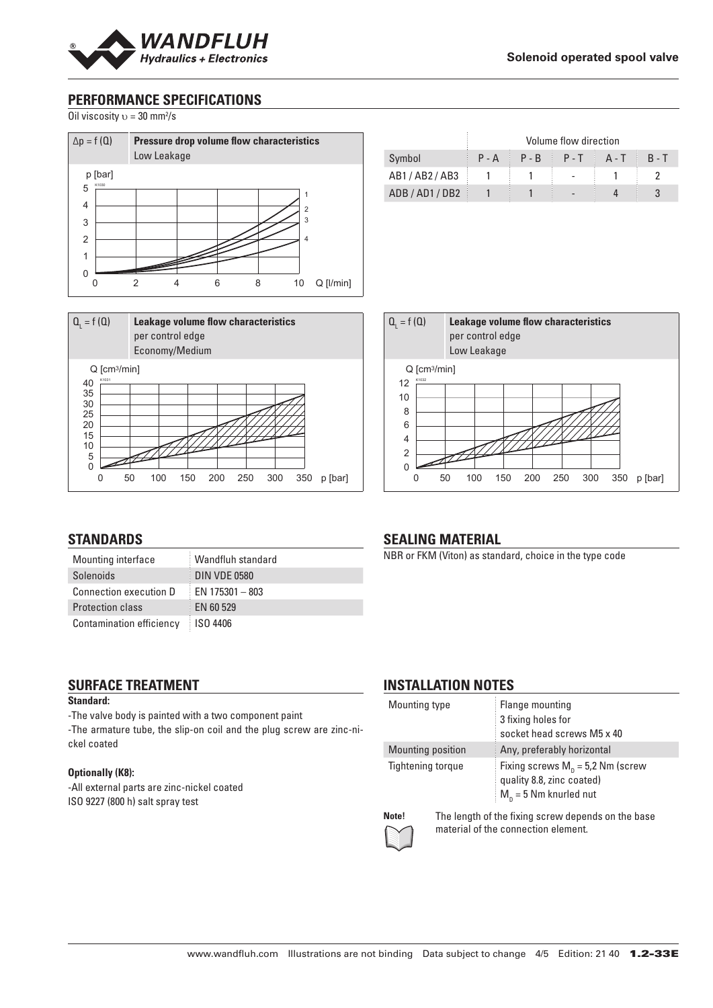

# **PERFORMANCE SPECIFICATIONS**

Oil viscosity  $v = 30$  mm<sup>2</sup>/s





|             | Volume flow direction |                 |       |              |         |
|-------------|-----------------------|-----------------|-------|--------------|---------|
| Symbol      |                       | $P - A$ $P - B$ | $P-T$ | <b>A</b> - T | $R - T$ |
| AB1/AB2/AB3 |                       |                 |       |              |         |
| ADB/AD1/DB2 |                       |                 |       |              |         |



# **STANDARDS**

| Mounting interface              | Wandfluh standard   |
|---------------------------------|---------------------|
| Solenoids                       | <b>DIN VDE 0580</b> |
| <b>Connection execution D</b>   | EN 175301 - 803     |
| <b>Protection class</b>         | <b>EN 60 529</b>    |
| <b>Contamination efficiency</b> | ISO 4406            |

#### **SURFACE TREATMENT Standard:**

-The valve body is painted with a two component paint

-The armature tube, the slip-on coil and the plug screw are zinc-nickel coated

#### **Optionally (K8):**

-All external parts are zinc-nickel coated ISO 9227 (800 h) salt spray test

# **SEALING MATERIAL**

NBR or FKM (Viton) as standard, choice in the type code

# **INSTALLATION NOTES**

| Mounting type     |  | Flange mounting<br>3 fixing holes for<br>socket head screws M5 x 40                                                            |  |  |  |
|-------------------|--|--------------------------------------------------------------------------------------------------------------------------------|--|--|--|
| Mounting position |  | Any, preferably horizontal                                                                                                     |  |  |  |
| Tightening torgue |  | Fixing screws $M_p = 5.2$ Nm (screw<br>quality 8.8, zinc coated)<br>$M_n = 5$ Nm knurled nut                                   |  |  |  |
| Note!<br>$\sim$   |  | The length of the fixing screw depends on the base<br>المعامل والمستحل المستنقص والمتحارب والمترافي المتألف والمتحدث والمستحدث |  |  |  |



material of the connection element.